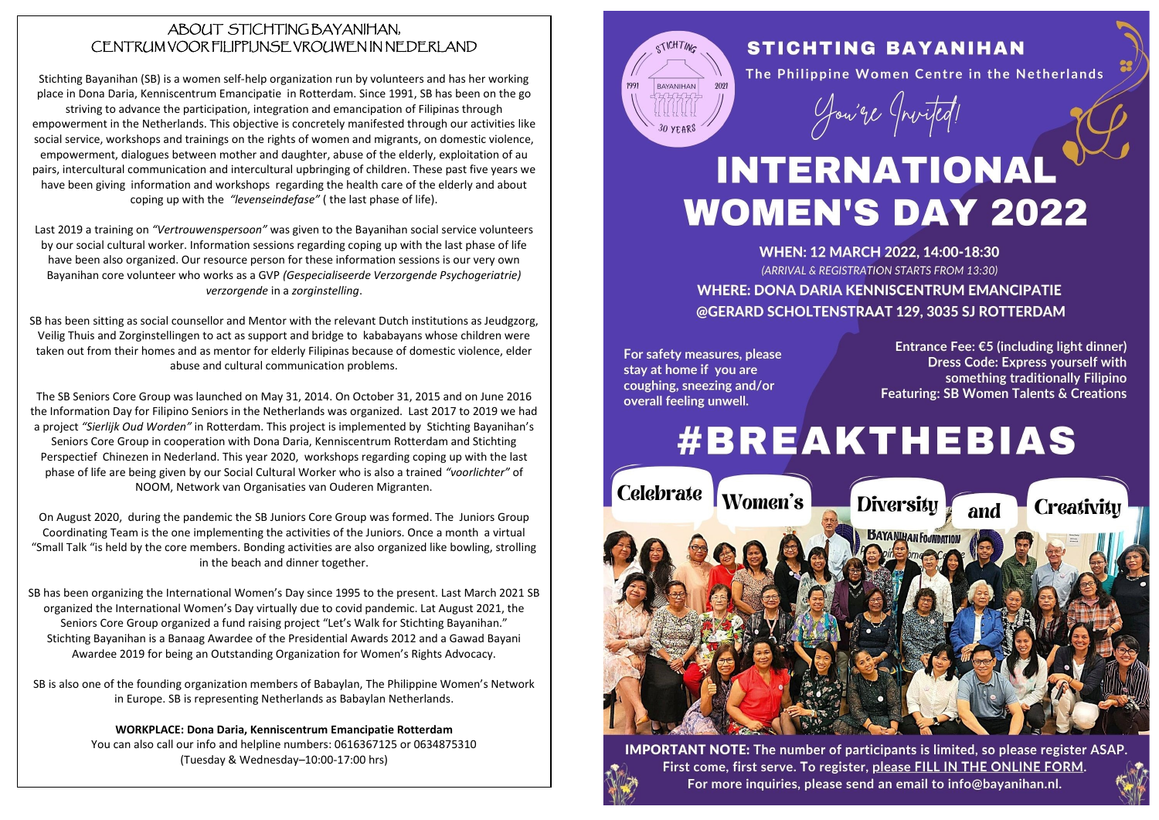#### ABOUT STICHTING BAYANIHAN, CENTRUM VOOR FILIPPIJNSE VROUWEN IN NEDERLAND

Stichting Bayanihan (SB) is a women self-help organization run by volunteers and has her working place in Dona Daria, Kenniscentrum Emancipatie in Rotterdam. Since 1991, SB has been on the go striving to advance the participation, integration and emancipation of Filipinas through empowerment in the Netherlands. This objective is concretely manifested through our activities like social service, workshops and trainings on the rights of women and migrants, on domestic violence, empowerment, dialogues between mother and daughter, abuse of the elderly, exploitation of au pairs, intercultural communication and intercultural upbringing of children. These past five years we have been giving information and workshops regarding the health care of the elderly and about coping up with the *"levenseindefase"* ( the last phase of life).

Last 2019 a training on *"Vertrouwenspersoon"* was given to the Bayanihan social service volunteers by our social cultural worker. Information sessions regarding coping up with the last phase of life have been also organized. Our resource person for these information sessions is our very own Bayanihan core volunteer who works as a GVP *(Gespecialiseerde Verzorgende Psychogeriatrie) verzorgende* in a *zorginstelling*.

SB has been sitting as social counsellor and Mentor with the relevant Dutch institutions as Jeudgzorg, Veilig Thuis and Zorginstellingen to act as support and bridge to kababayans whose children were taken out from their homes and as mentor for elderly Filipinas because of domestic violence, elder abuse and cultural communication problems.

The SB Seniors Core Group was launched on May 31, 2014. On October 31, 2015 and on June 2016 the Information Day for Filipino Seniors in the Netherlands was organized. Last 2017 to 2019 we had a project *"Sierlijk Oud Worden"* in Rotterdam. This project is implemented by Stichting Bayanihan's Seniors Core Group in cooperation with Dona Daria, Kenniscentrum Rotterdam and Stichting Perspectief Chinezen in Nederland. This year 2020, workshops regarding coping up with the last phase of life are being given by our Social Cultural Worker who is also a trained *"voorlichter"* of NOOM, Network van Organisaties van Ouderen Migranten.

On August 2020, during the pandemic the SB Juniors Core Group was formed. The Juniors Group Coordinating Team is the one implementing the activities of the Juniors. Once a month a virtual "Small Talk "is held by the core members. Bonding activities are also organized like bowling, strolling in the beach and dinner together.

SB has been organizing the International Women's Day since 1995 to the present. Last March 2021 SB organized the International Women's Day virtually due to covid pandemic. Lat August 2021, the Seniors Core Group organized a fund raising project "Let's Walk for Stichting Bayanihan." Stichting Bayanihan is a Banaag Awardee of the Presidential Awards 2012 and a Gawad Bayani Awardee 2019 for being an Outstanding Organization for Women's Rights Advocacy.

SB is also one of the founding organization members of Babaylan, The Philippine Women's Network in Europe. SB is representing Netherlands as Babaylan Netherlands.

> **WORKPLACE: Dona Daria, Kenniscentrum Emancipatie Rotterdam**  You can also call our info and helpline numbers: 0616367125 or 0634875310 (Tuesday & Wednesday–10:00-17:00 hrs)



## **STICHTING BAYANIHAN**

The Philippine Women Centre in the Netherlands

Jou're (Invited!

# **INTERNATIONAL WOMEN'S DAY 2022**

WHEN: 12 MARCH 2022, 14:00-18:30 (ARRIVAL & REGISTRATION STARTS FROM 13:30) **WHERE: DONA DARIA KENNISCENTRUM EMANCIPATIE** @GERARD SCHOLTENSTRAAT 129, 3035 SJ ROTTERDAM

For safety measures, please stay at home if you are coughing, sneezing and/or overall feeling unwell.

Entrance Fee: €5 (including light dinner) **Dress Code: Express vourself with** something traditionally Filipino Featuring: SB Women Talents & Creations

# **#BREAKTHEBIAS**



**IMPORTANT NOTE:** The number of participants is limited, so please register ASAP. First come, first serve. To register, please FILL IN THE ONLINE FORM. For more inquiries, please send an email to info@bayanihan.nl.